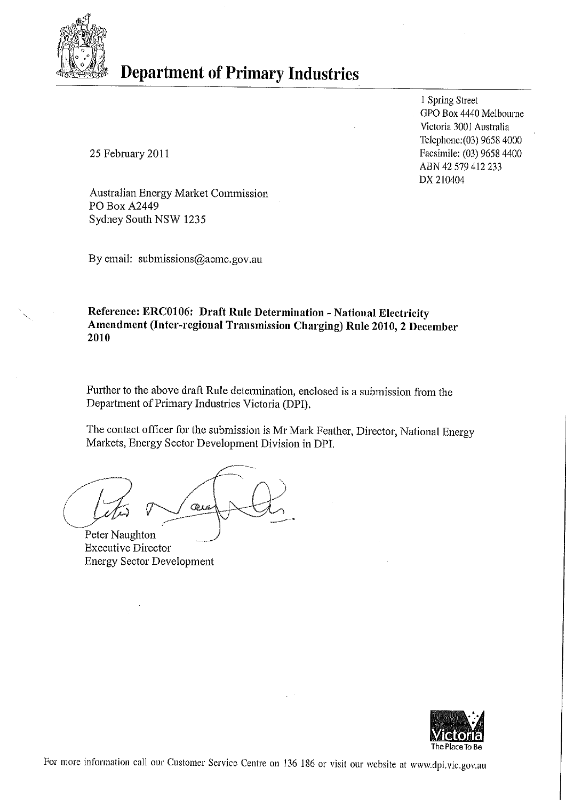

# **Department of Primary Industries**

1 Spring Street GPO Box 4440 Melbourne Victoria 3001 Australia Telephone: (03) 9658 4000 Facsimile: (03) 9658 4400 ABN 42 579 412 233 DX 210404

25 February 2011

Australian Energy Market Commission PO Box A2449 Sydney South NSW 1235

By email: submissions@aemc.gov.au

Reference: ERC0106: Draft Rule Determination - National Electricity Amendment (Inter-regional Transmission Charging) Rule 2010, 2 December 2010

Further to the above draft Rule determination, enclosed is a submission from the Department of Primary Industries Victoria (DPI).

The contact officer for the submission is Mr Mark Feather, Director, National Energy Markets, Energy Sector Development Division in DPI.

Qua

Peter Naughton **Executive Director Energy Sector Development** 

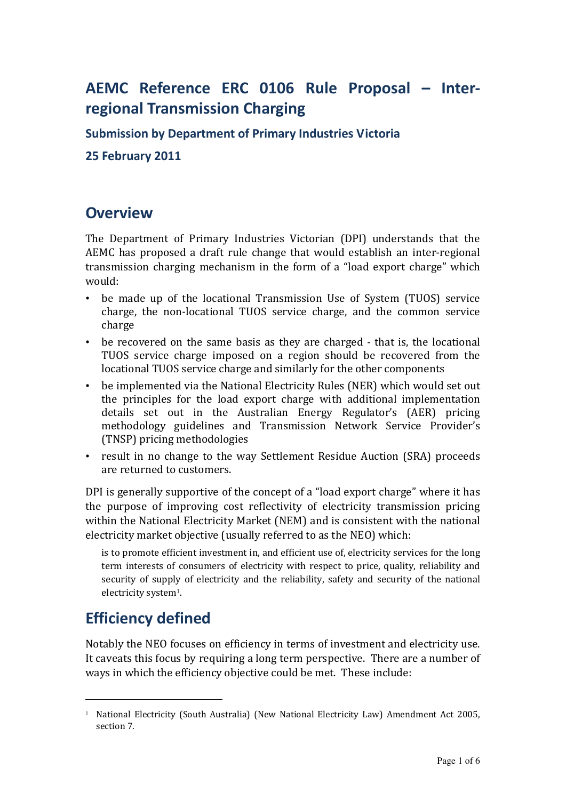## AEMC Reference ERC 0106 Rule Proposal – Interregional Transmission Charging

Submission by Department of Primary Industries Victoria

25 February 2011

### **Overview**

The Department of Primary Industries Victorian (DPI) understands that the AEMC has proposed a draft rule change that would establish an inter-regional transmission charging mechanism in the form of a "load export charge" which would:

- be made up of the locational Transmission Use of System (TUOS) service charge, the non-locational TUOS service charge, and the common service charge
- be recovered on the same basis as they are charged that is, the locational TUOS service charge imposed on a region should be recovered from the locational TUOS service charge and similarly for the other components
- be implemented via the National Electricity Rules (NER) which would set out the principles for the load export charge with additional implementation details set out in the Australian Energy Regulator's (AER) pricing methodology guidelines and Transmission Network Service Provider's (TNSP) pricing methodologies
- result in no change to the way Settlement Residue Auction (SRA) proceeds are returned to customers.

DPI is generally supportive of the concept of a "load export charge" where it has the purpose of improving cost reflectivity of electricity transmission pricing within the National Electricity Market (NEM) and is consistent with the national electricity market objective (usually referred to as the NEO) which:

is to promote efficient investment in, and efficient use of, electricity services for the long term interests of consumers of electricity with respect to price, quality, reliability and security of supply of electricity and the reliability, safety and security of the national electricity system<sup>1</sup>.

## Efficiency defined

-

Notably the NEO focuses on efficiency in terms of investment and electricity use. It caveats this focus by requiring a long term perspective. There are a number of ways in which the efficiency objective could be met. These include:

<sup>&</sup>lt;sup>1</sup> National Electricity (South Australia) (New National Electricity Law) Amendment Act 2005, section 7.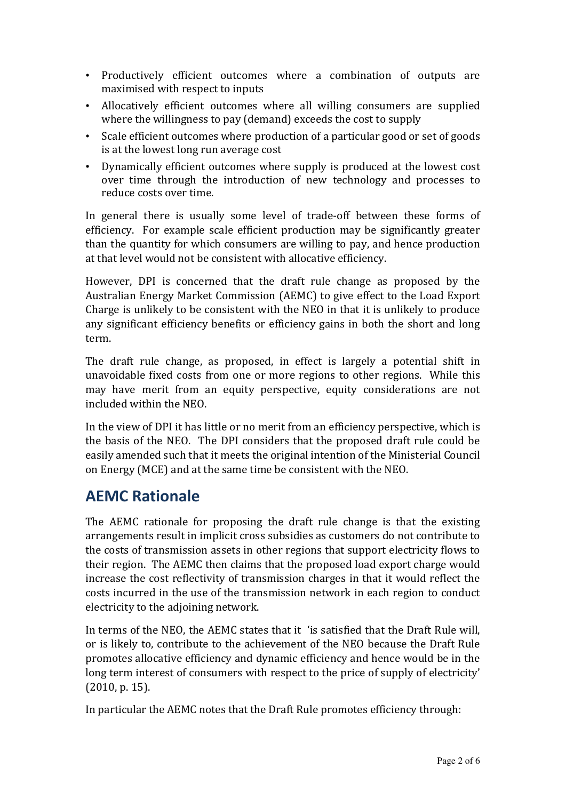- Productively efficient outcomes where a combination of outputs are maximised with respect to inputs
- Allocatively efficient outcomes where all willing consumers are supplied where the willingness to pay (demand) exceeds the cost to supply
- Scale efficient outcomes where production of a particular good or set of goods is at the lowest long run average cost
- Dynamically efficient outcomes where supply is produced at the lowest cost over time through the introduction of new technology and processes to reduce costs over time.

In general there is usually some level of trade-off between these forms of efficiency. For example scale efficient production may be significantly greater than the quantity for which consumers are willing to pay, and hence production at that level would not be consistent with allocative efficiency.

However, DPI is concerned that the draft rule change as proposed by the Australian Energy Market Commission (AEMC) to give effect to the Load Export Charge is unlikely to be consistent with the NEO in that it is unlikely to produce any significant efficiency benefits or efficiency gains in both the short and long term.

The draft rule change, as proposed, in effect is largely a potential shift in unavoidable fixed costs from one or more regions to other regions. While this may have merit from an equity perspective, equity considerations are not included within the NEO.

In the view of DPI it has little or no merit from an efficiency perspective, which is the basis of the NEO. The DPI considers that the proposed draft rule could be easily amended such that it meets the original intention of the Ministerial Council on Energy (MCE) and at the same time be consistent with the NEO.

### AEMC Rationale

The AEMC rationale for proposing the draft rule change is that the existing arrangements result in implicit cross subsidies as customers do not contribute to the costs of transmission assets in other regions that support electricity flows to their region. The AEMC then claims that the proposed load export charge would increase the cost reflectivity of transmission charges in that it would reflect the costs incurred in the use of the transmission network in each region to conduct electricity to the adjoining network.

In terms of the NEO, the AEMC states that it 'is satisfied that the Draft Rule will, or is likely to, contribute to the achievement of the NEO because the Draft Rule promotes allocative efficiency and dynamic efficiency and hence would be in the long term interest of consumers with respect to the price of supply of electricity' (2010, p. 15).

In particular the AEMC notes that the Draft Rule promotes efficiency through: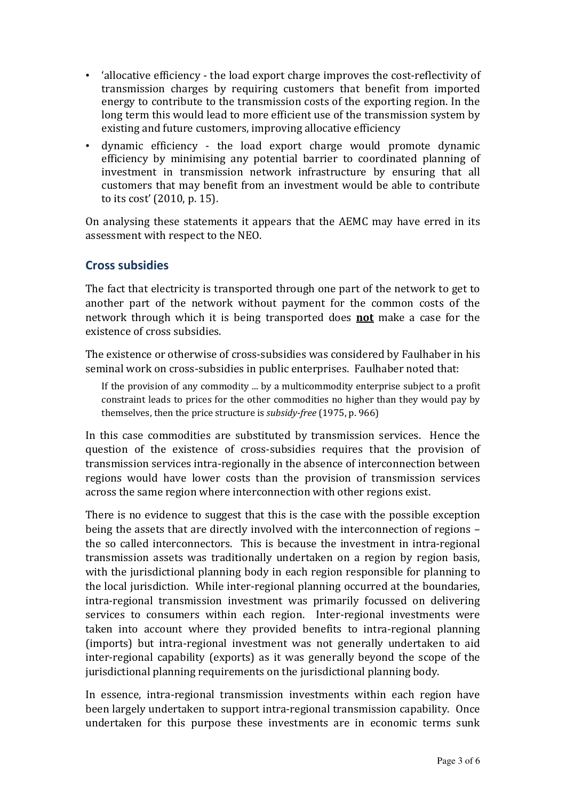- 'allocative efficiency the load export charge improves the cost-reflectivity of transmission charges by requiring customers that benefit from imported energy to contribute to the transmission costs of the exporting region. In the long term this would lead to more efficient use of the transmission system by existing and future customers, improving allocative efficiency
- dynamic efficiency the load export charge would promote dynamic efficiency by minimising any potential barrier to coordinated planning of investment in transmission network infrastructure by ensuring that all customers that may benefit from an investment would be able to contribute to its cost' (2010, p. 15).

On analysing these statements it appears that the AEMC may have erred in its assessment with respect to the NEO.

#### Cross subsidies

The fact that electricity is transported through one part of the network to get to another part of the network without payment for the common costs of the network through which it is being transported does not make a case for the existence of cross subsidies.

The existence or otherwise of cross-subsidies was considered by Faulhaber in his seminal work on cross-subsidies in public enterprises. Faulhaber noted that:

If the provision of any commodity ... by a multicommodity enterprise subject to a profit constraint leads to prices for the other commodities no higher than they would pay by themselves, then the price structure is subsidy-free (1975, p. 966)

In this case commodities are substituted by transmission services. Hence the question of the existence of cross-subsidies requires that the provision of transmission services intra-regionally in the absence of interconnection between regions would have lower costs than the provision of transmission services across the same region where interconnection with other regions exist.

There is no evidence to suggest that this is the case with the possible exception being the assets that are directly involved with the interconnection of regions – the so called interconnectors. This is because the investment in intra-regional transmission assets was traditionally undertaken on a region by region basis, with the jurisdictional planning body in each region responsible for planning to the local jurisdiction. While inter-regional planning occurred at the boundaries, intra-regional transmission investment was primarily focussed on delivering services to consumers within each region. Inter-regional investments were taken into account where they provided benefits to intra-regional planning (imports) but intra-regional investment was not generally undertaken to aid inter-regional capability (exports) as it was generally beyond the scope of the jurisdictional planning requirements on the jurisdictional planning body.

In essence, intra-regional transmission investments within each region have been largely undertaken to support intra-regional transmission capability. Once undertaken for this purpose these investments are in economic terms sunk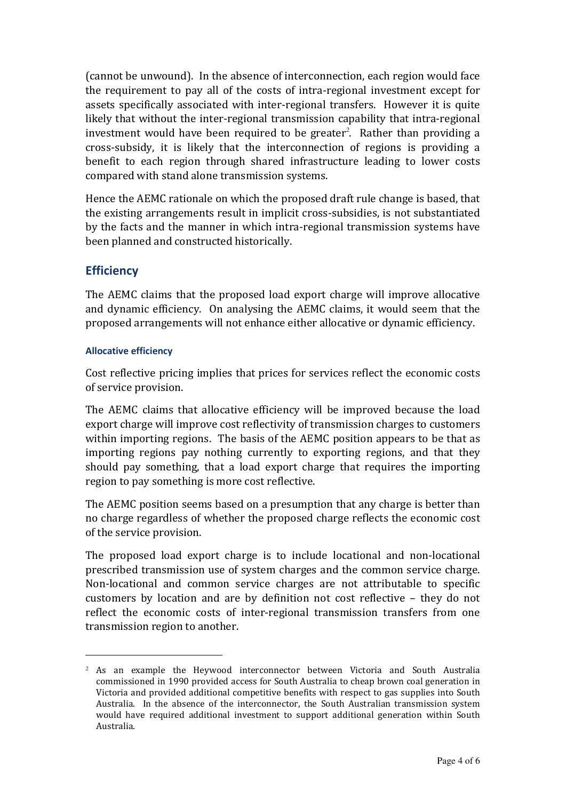(cannot be unwound). In the absence of interconnection, each region would face the requirement to pay all of the costs of intra-regional investment except for assets specifically associated with inter-regional transfers. However it is quite likely that without the inter-regional transmission capability that intra-regional investment would have been required to be greater<sup>2</sup>. Rather than providing a cross-subsidy, it is likely that the interconnection of regions is providing a benefit to each region through shared infrastructure leading to lower costs compared with stand alone transmission systems.

Hence the AEMC rationale on which the proposed draft rule change is based, that the existing arrangements result in implicit cross-subsidies, is not substantiated by the facts and the manner in which intra-regional transmission systems have been planned and constructed historically.

#### **Efficiency**

1

The AEMC claims that the proposed load export charge will improve allocative and dynamic efficiency. On analysing the AEMC claims, it would seem that the proposed arrangements will not enhance either allocative or dynamic efficiency.

#### Allocative efficiency

Cost reflective pricing implies that prices for services reflect the economic costs of service provision.

The AEMC claims that allocative efficiency will be improved because the load export charge will improve cost reflectivity of transmission charges to customers within importing regions. The basis of the AEMC position appears to be that as importing regions pay nothing currently to exporting regions, and that they should pay something, that a load export charge that requires the importing region to pay something is more cost reflective.

The AEMC position seems based on a presumption that any charge is better than no charge regardless of whether the proposed charge reflects the economic cost of the service provision.

The proposed load export charge is to include locational and non-locational prescribed transmission use of system charges and the common service charge. Non-locational and common service charges are not attributable to specific customers by location and are by definition not cost reflective – they do not reflect the economic costs of inter-regional transmission transfers from one transmission region to another.

<sup>2</sup> As an example the Heywood interconnector between Victoria and South Australia commissioned in 1990 provided access for South Australia to cheap brown coal generation in Victoria and provided additional competitive benefits with respect to gas supplies into South Australia. In the absence of the interconnector, the South Australian transmission system would have required additional investment to support additional generation within South Australia.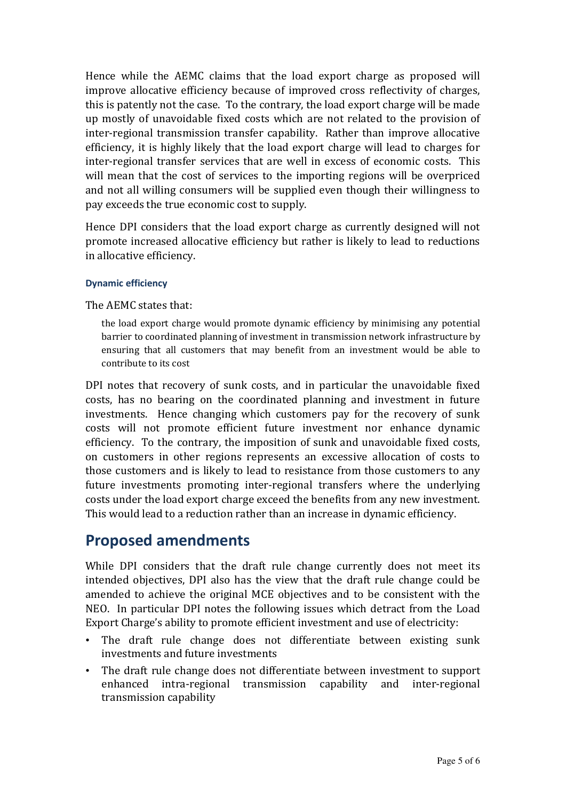Hence while the AEMC claims that the load export charge as proposed will improve allocative efficiency because of improved cross reflectivity of charges, this is patently not the case. To the contrary, the load export charge will be made up mostly of unavoidable fixed costs which are not related to the provision of inter-regional transmission transfer capability. Rather than improve allocative efficiency, it is highly likely that the load export charge will lead to charges for inter-regional transfer services that are well in excess of economic costs. This will mean that the cost of services to the importing regions will be overpriced and not all willing consumers will be supplied even though their willingness to pay exceeds the true economic cost to supply.

Hence DPI considers that the load export charge as currently designed will not promote increased allocative efficiency but rather is likely to lead to reductions in allocative efficiency.

#### Dynamic efficiency

The AEMC states that:

the load export charge would promote dynamic efficiency by minimising any potential barrier to coordinated planning of investment in transmission network infrastructure by ensuring that all customers that may benefit from an investment would be able to contribute to its cost

DPI notes that recovery of sunk costs, and in particular the unavoidable fixed costs, has no bearing on the coordinated planning and investment in future investments. Hence changing which customers pay for the recovery of sunk costs will not promote efficient future investment nor enhance dynamic efficiency. To the contrary, the imposition of sunk and unavoidable fixed costs, on customers in other regions represents an excessive allocation of costs to those customers and is likely to lead to resistance from those customers to any future investments promoting inter-regional transfers where the underlying costs under the load export charge exceed the benefits from any new investment. This would lead to a reduction rather than an increase in dynamic efficiency.

### Proposed amendments

While DPI considers that the draft rule change currently does not meet its intended objectives, DPI also has the view that the draft rule change could be amended to achieve the original MCE objectives and to be consistent with the NEO. In particular DPI notes the following issues which detract from the Load Export Charge's ability to promote efficient investment and use of electricity:

- The draft rule change does not differentiate between existing sunk investments and future investments
- The draft rule change does not differentiate between investment to support enhanced intra-regional transmission capability and inter-regional transmission capability